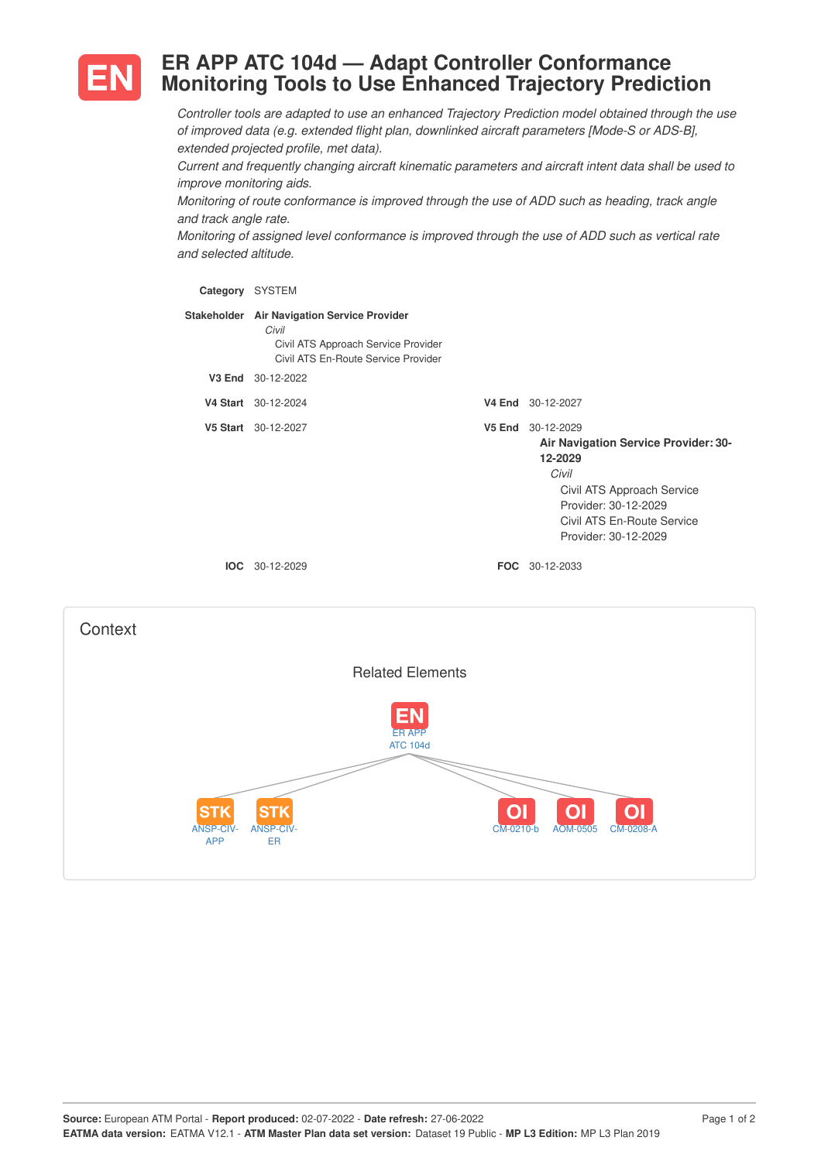

# **ER APP ATC 104d — Adapt Controller Conformance Monitoring Tools to Use Enhanced Trajectory Prediction**

*Controller tools are adapted to use an enhanced Trajectory Prediction model obtained through the use of improved data (e.g. extended flight plan, downlinked aircraft parameters [Mode-S or ADS-B], extended projected profile, met data).*

*Current and frequently changing aircraft kinematic parameters and aircraft intent data shall be used to improve monitoring aids.*

*Monitoring of route conformance is improved through the use of ADD such as heading, track angle and track angle rate.*

*Monitoring of assigned level conformance is improved through the use of ADD such as vertical rate and selected altitude.*

| Category SYSTEM |                                                                                                                                    |        |                                                                                                                                                                                           |
|-----------------|------------------------------------------------------------------------------------------------------------------------------------|--------|-------------------------------------------------------------------------------------------------------------------------------------------------------------------------------------------|
|                 | Stakeholder Air Navigation Service Provider<br>Civil<br>Civil ATS Approach Service Provider<br>Civil ATS En-Route Service Provider |        |                                                                                                                                                                                           |
| V3 End          | 30-12-2022                                                                                                                         |        |                                                                                                                                                                                           |
|                 | V4 Start 30-12-2024                                                                                                                | V4 End | 30-12-2027                                                                                                                                                                                |
|                 | V5 Start 30-12-2027                                                                                                                | V5 End | 30-12-2029<br><b>Air Navigation Service Provider: 30-</b><br>12-2029<br>Civil<br>Civil ATS Approach Service<br>Provider: 30-12-2029<br>Civil ATS En-Route Service<br>Provider: 30-12-2029 |
| IOC.            | 30-12-2029                                                                                                                         |        | <b>FOC</b> 30-12-2033                                                                                                                                                                     |